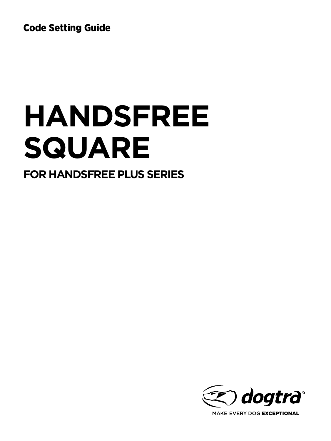Code Setting Guide

# **HANDSFREE SQUARE**

### **FOR HANDSFREE PLUS SERIES**



MAKE EVERY DOG EXCEPTIONAL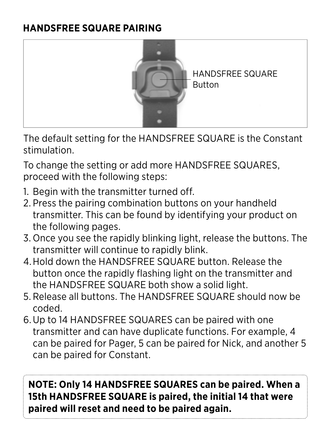### **HANDSFREE SQUARE PAIRING**



The default setting for the HANDSFREE SQUARE is the Constant stimulation.

To change the setting or add more HANDSFREE SQUARES, proceed with the following steps:

- 1. Begin with the transmitter turned off.
- 2. Press the pairing combination buttons on your handheld transmitter. This can be found by identifying your product on the following pages.
- 3. Once you see the rapidly blinking light, release the buttons. The transmitter will continue to rapidly blink.
- 4.Hold down the HANDSFREE SQUARE button. Release the button once the rapidly flashing light on the transmitter and the HANDSFREE SQUARE both show a solid light.
- 5. Release all buttons. The HANDSFREE SQUARE should now be coded.
- 6.Up to 14 HANDSFREE SQUARES can be paired with one transmitter and can have duplicate functions. For example, 4 can be paired for Pager, 5 can be paired for Nick, and another 5 can be paired for Constant.

**NOTE: Only 14 HANDSFREE SQUARES can be paired. When a 15th HANDSFREE SQUARE is paired, the initial 14 that were paired will reset and need to be paired again.**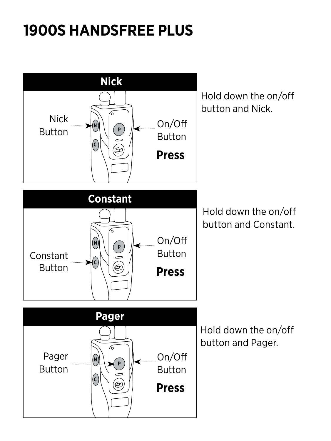### **1900S HANDSFREE PLUS**

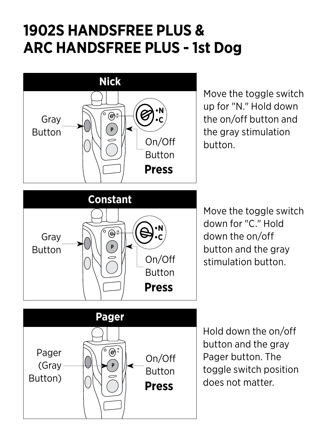### **1902S HANDSFREE PLUS & ARC HANDSFREE PLUS - 1st Dog**



Move the toggle switch up for "N." Hold down the on/off button and the gray stimulation

Move the toggle switch down for "C." Hold down the on/off button and the gray stimulation button.

Hold down the on/off button and the gray Pager button. The toggle switch position does not matter.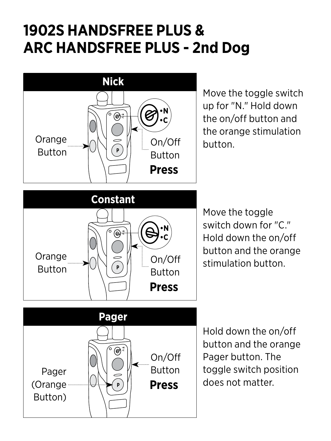### **1902S HANDSFREE PLUS & ARC HANDSFREE PLUS - 2nd Dog**



Move the toggle switch up for "N." Hold down the on/off button and the orange stimulation

Move the toggle switch down for "C." Hold down the on/off button and the orange stimulation button.



Hold down the on/off button and the orange Pager button. The toggle switch position does not matter.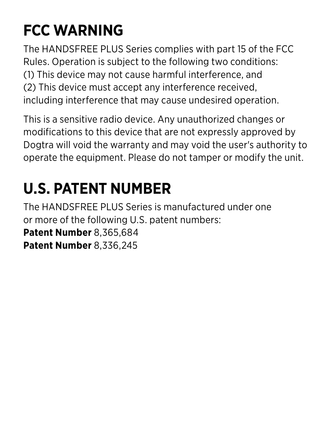## **FCC WARNING**

The HANDSFREE PLUS Series complies with part 15 of the FCC Rules. Operation is subject to the following two conditions: (1) This device may not cause harmful interference, and (2) This device must accept any interference received, including interference that may cause undesired operation.

This is a sensitive radio device. Any unauthorized changes or modifications to this device that are not expressly approved by Dogtra will void the warranty and may void the user's authority to operate the equipment. Please do not tamper or modify the unit.

# **U.S. PATENT NUMBER**

The HANDSFREE PLUS Series is manufactured under one or more of the following U.S. patent numbers: **Patent Number** 8,365,684 **Patent Number** 8,336,245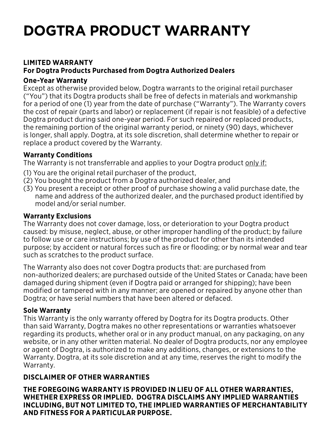### **DOGTRA PRODUCT WARRANTY**

#### **LIMITED WARRANTY**

#### **For Dogtra Products Purchased from Dogtra Authorized Dealers**

#### **One-Year Warranty**

Except as otherwise provided below, Dogtra warrants to the original retail purchaser ("You") that its Dogtra products shall be free of defects in materials and workmanship for a period of one (1) year from the date of purchase ("Warranty"). The Warranty covers the cost of repair (parts and labor) or replacement (if repair is not feasible) of a defective Dogtra product during said one-year period. For such repaired or replaced products, the remaining portion of the original warranty period, or ninety (90) days, whichever is longer, shall apply. Dogtra, at its sole discretion, shall determine whether to repair or replace a product covered by the Warranty.

#### **Warranty Conditions**

The Warranty is not transferrable and applies to your Dogtra product only if:

- (1) You are the original retail purchaser of the product,
- (2) You bought the product from a Dogtra authorized dealer, and
- (3) You present a receipt or other proof of purchase showing a valid purchase date, the name and address of the authorized dealer, and the purchased product identified by model and/or serial number.

#### **Warranty Exclusions**

The Warranty does not cover damage, loss, or deterioration to your Dogtra product caused: by misuse, neglect, abuse, or other improper handling of the product; by failure to follow use or care instructions; by use of the product for other than its intended purpose; by accident or natural forces such as fire or flooding; or by normal wear and tear such as scratches to the product surface.

The Warranty also does not cover Dogtra products that: are purchased from non-authorized dealers; are purchased outside of the United States or Canada; have been damaged during shipment (even if Dogtra paid or arranged for shipping); have been modified or tampered with in any manner; are opened or repaired by anyone other than Dogtra; or have serial numbers that have been altered or defaced.

#### **Sole Warranty**

This Warranty is the only warranty offered by Dogtra for its Dogtra products. Other than said Warranty, Dogtra makes no other representations or warranties whatsoever regarding its products, whether oral or in any product manual, on any packaging, on any website, or in any other written material. No dealer of Dogtra products, nor any employee or agent of Dogtra, is authorized to make any additions, changes, or extensions to the Warranty. Dogtra, at its sole discretion and at any time, reserves the right to modify the Warranty.

#### **DISCLAIMER OF OTHER WARRANTIES**

**THE FOREGOING WARRANTY IS PROVIDED IN LIEU OF ALL OTHER WARRANTIES, WHETHER EXPRESS OR IMPLIED. DOGTRA DISCLAIMS ANY IMPLIED WARRANTIES INCLUDING, BUT NOT LIMITED TO, THE IMPLIED WARRANTIES OF MERCHANTABILITY AND FITNESS FOR A PARTICULAR PURPOSE.**